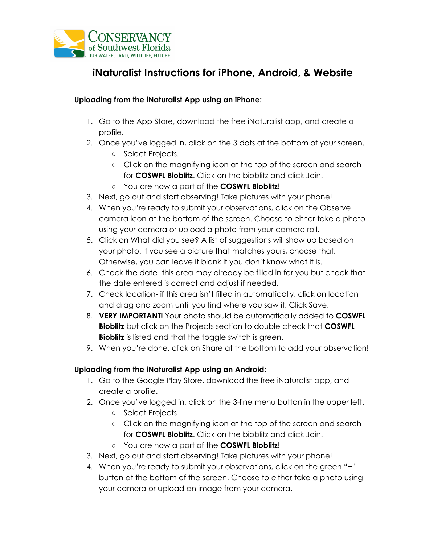

# **iNaturalist Instructions for iPhone, Android, & Website**

### **Uploading from the iNaturalist App using an iPhone:**

- 1. Go to the App Store, download the free iNaturalist app, and create a profile.
- 2. Once you've logged in, click on the 3 dots at the bottom of your screen.
	- Select Projects.
	- Click on the magnifying icon at the top of the screen and search for **COSWFL Bioblitz**. Click on the bioblitz and click Join.
	- You are now a part of the **COSWFL Bioblitz**!
- 3. Next, go out and start observing! Take pictures with your phone!
- 4. When you're ready to submit your observations, click on the Observe camera icon at the bottom of the screen. Choose to either take a photo using your camera or upload a photo from your camera roll.
- 5. Click on What did you see? A list of suggestions will show up based on your photo. If you see a picture that matches yours, choose that. Otherwise, you can leave it blank if you don't know what it is.
- 6. Check the date- this area may already be filled in for you but check that the date entered is correct and adjust if needed.
- 7. Check location- if this area isn't filled in automatically, click on location and drag and zoom until you find where you saw it. Click Save.
- 8. **VERY IMPORTANT!** Your photo should be automatically added to **COSWFL Bioblitz** but click on the Projects section to double check that **COSWFL Bioblitz** is listed and that the toggle switch is green.
- 9. When you're done, click on Share at the bottom to add your observation!

## **Uploading from the iNaturalist App using an Android:**

- 1. Go to the Google Play Store, download the free iNaturalist app, and create a profile.
- 2. Once you've logged in, click on the 3-line menu button in the upper left.
	- Select Projects
	- Click on the magnifying icon at the top of the screen and search for **COSWFL Bioblitz**. Click on the bioblitz and click Join.
	- You are now a part of the **COSWFL Bioblitz**!
- 3. Next, go out and start observing! Take pictures with your phone!
- 4. When you're ready to submit your observations, click on the green "+" button at the bottom of the screen. Choose to either take a photo using your camera or upload an image from your camera.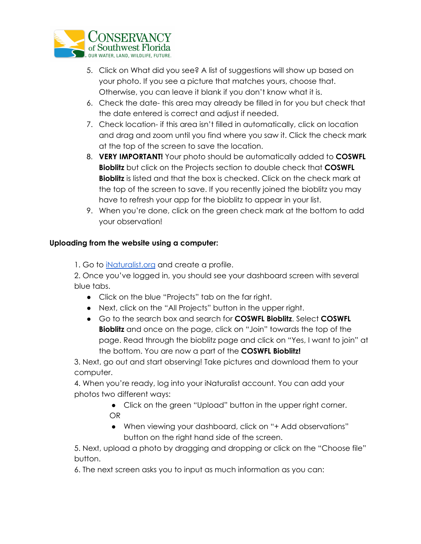

- 5. Click on What did you see? A list of suggestions will show up based on your photo. If you see a picture that matches yours, choose that. Otherwise, you can leave it blank if you don't know what it is.
- 6. Check the date- this area may already be filled in for you but check that the date entered is correct and adjust if needed.
- 7. Check location- if this area isn't filled in automatically, click on location and drag and zoom until you find where you saw it. Click the check mark at the top of the screen to save the location.
- 8. **VERY IMPORTANT!** Your photo should be automatically added to **COSWFL Bioblitz** but click on the Projects section to double check that **COSWFL Bioblitz** is listed and that the box is checked. Click on the check mark at the top of the screen to save. If you recently joined the bioblitz you may have to refresh your app for the bioblitz to appear in your list.
- 9. When you're done, click on the green check mark at the bottom to add your observation!

## **Uploading from the website using a computer:**

1. Go to [iNaturalist.org](https://www.inaturalist.org/) and create a profile.

2. Once you've logged in, you should see your dashboard screen with several blue tabs.

- Click on the blue "Projects" tab on the far right.
- Next, click on the "All Projects" button in the upper right.
- Go to the search box and search for **COSWFL Bioblitz**. Select **COSWFL Bioblitz** and once on the page, click on "Join" towards the top of the page. Read through the bioblitz page and click on "Yes, I want to join" at the bottom. You are now a part of the **COSWFL Bioblitz!**

3. Next, go out and start observing! Take pictures and download them to your computer.

4. When you're ready, log into your iNaturalist account. You can add your photos two different ways:

- Click on the green "Upload" button in the upper right corner. OR
- When viewing your dashboard, click on "+ Add observations" button on the right hand side of the screen.

5. Next, upload a photo by dragging and dropping or click on the "Choose file" button.

6. The next screen asks you to input as much information as you can: